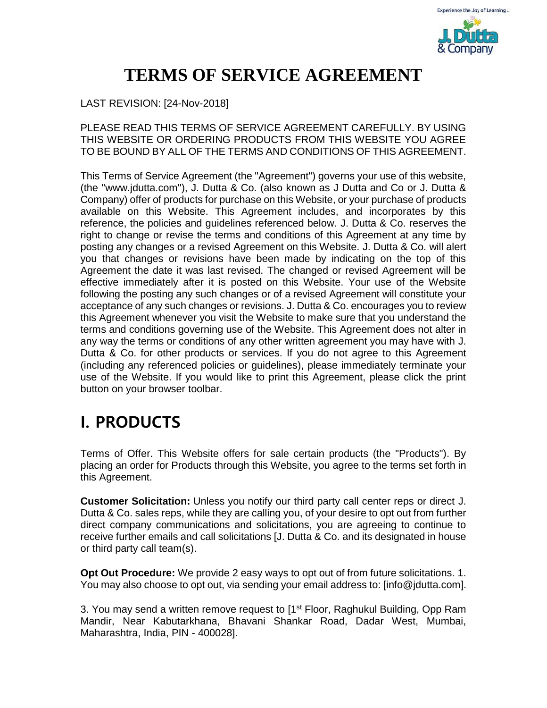

## **TERMS OF SERVICE AGREEMENT**

#### LAST REVISION: [24-Nov-2018]

PLEASE READ THIS TERMS OF SERVICE AGREEMENT CAREFULLY. BY USING THIS WEBSITE OR ORDERING PRODUCTS FROM THIS WEBSITE YOU AGREE TO BE BOUND BY ALL OF THE TERMS AND CONDITIONS OF THIS AGREEMENT.

This Terms of Service Agreement (the "Agreement") governs your use of this website, (the "www.jdutta.com"), J. Dutta & Co. (also known as J Dutta and Co or J. Dutta & Company) offer of products for purchase on this Website, or your purchase of products available on this Website. This Agreement includes, and incorporates by this reference, the policies and guidelines referenced below. J. Dutta & Co. reserves the right to change or revise the terms and conditions of this Agreement at any time by posting any changes or a revised Agreement on this Website. J. Dutta & Co. will alert you that changes or revisions have been made by indicating on the top of this Agreement the date it was last revised. The changed or revised Agreement will be effective immediately after it is posted on this Website. Your use of the Website following the posting any such changes or of a revised Agreement will constitute your acceptance of any such changes or revisions. J. Dutta & Co. encourages you to review this Agreement whenever you visit the Website to make sure that you understand the terms and conditions governing use of the Website. This Agreement does not alter in any way the terms or conditions of any other written agreement you may have with J. Dutta & Co. for other products or services. If you do not agree to this Agreement (including any referenced policies or guidelines), please immediately terminate your use of the Website. If you would like to print this Agreement, please click the print button on your browser toolbar.

#### **I. PRODUCTS**

Terms of Offer. This Website offers for sale certain products (the "Products"). By placing an order for Products through this Website, you agree to the terms set forth in this Agreement.

**Customer Solicitation:** Unless you notify our third party call center reps or direct J. Dutta & Co. sales reps, while they are calling you, of your desire to opt out from further direct company communications and solicitations, you are agreeing to continue to receive further emails and call solicitations [J. Dutta & Co. and its designated in house or third party call team(s).

**Opt Out Procedure:** We provide 2 easy ways to opt out of from future solicitations. 1. You may also choose to opt out, via sending your email address to: [info@jdutta.com].

3. You may send a written remove request to [1<sup>st</sup> Floor, Raghukul Building, Opp Ram Mandir, Near Kabutarkhana, Bhavani Shankar Road, Dadar West, Mumbai, Maharashtra, India, PIN - 400028].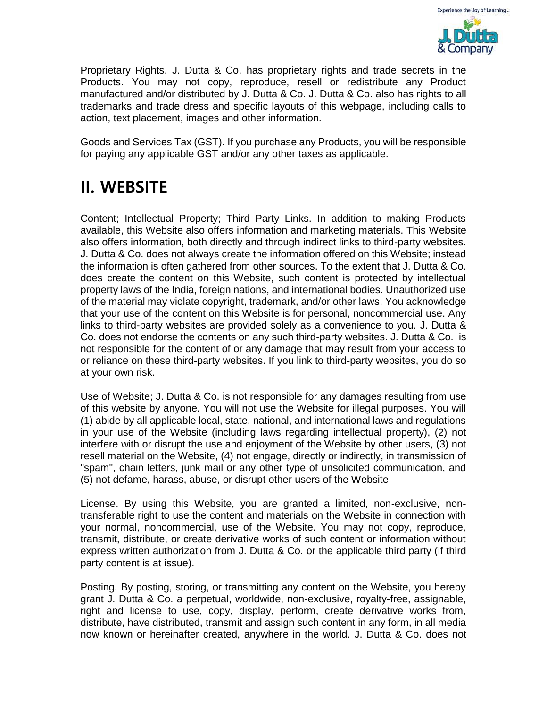

Proprietary Rights. J. Dutta & Co. has proprietary rights and trade secrets in the Products. You may not copy, reproduce, resell or redistribute any Product manufactured and/or distributed by J. Dutta & Co. J. Dutta & Co. also has rights to all trademarks and trade dress and specific layouts of this webpage, including calls to action, text placement, images and other information.

Goods and Services Tax (GST). If you purchase any Products, you will be responsible for paying any applicable GST and/or any other taxes as applicable.

#### **II. WEBSITE**

Content; Intellectual Property; Third Party Links. In addition to making Products available, this Website also offers information and marketing materials. This Website also offers information, both directly and through indirect links to third-party websites. J. Dutta & Co. does not always create the information offered on this Website; instead the information is often gathered from other sources. To the extent that J. Dutta & Co. does create the content on this Website, such content is protected by intellectual property laws of the India, foreign nations, and international bodies. Unauthorized use of the material may violate copyright, trademark, and/or other laws. You acknowledge that your use of the content on this Website is for personal, noncommercial use. Any links to third-party websites are provided solely as a convenience to you. J. Dutta & Co. does not endorse the contents on any such third-party websites. J. Dutta & Co. is not responsible for the content of or any damage that may result from your access to or reliance on these third-party websites. If you link to third-party websites, you do so at your own risk.

Use of Website; J. Dutta & Co. is not responsible for any damages resulting from use of this website by anyone. You will not use the Website for illegal purposes. You will (1) abide by all applicable local, state, national, and international laws and regulations in your use of the Website (including laws regarding intellectual property), (2) not interfere with or disrupt the use and enjoyment of the Website by other users, (3) not resell material on the Website, (4) not engage, directly or indirectly, in transmission of "spam", chain letters, junk mail or any other type of unsolicited communication, and (5) not defame, harass, abuse, or disrupt other users of the Website

License. By using this Website, you are granted a limited, non-exclusive, nontransferable right to use the content and materials on the Website in connection with your normal, noncommercial, use of the Website. You may not copy, reproduce, transmit, distribute, or create derivative works of such content or information without express written authorization from J. Dutta & Co. or the applicable third party (if third party content is at issue).

Posting. By posting, storing, or transmitting any content on the Website, you hereby grant J. Dutta & Co. a perpetual, worldwide, non-exclusive, royalty-free, assignable, right and license to use, copy, display, perform, create derivative works from, distribute, have distributed, transmit and assign such content in any form, in all media now known or hereinafter created, anywhere in the world. J. Dutta & Co. does not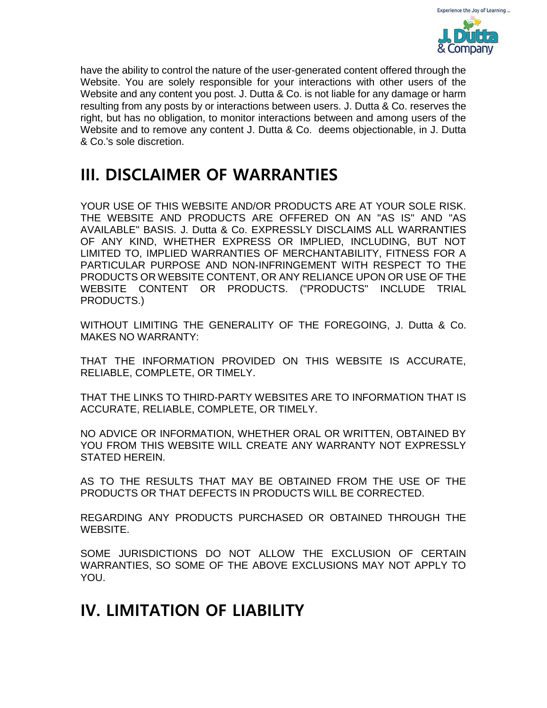

have the ability to control the nature of the user-generated content offered through the Website. You are solely responsible for your interactions with other users of the Website and any content you post. J. Dutta & Co. is not liable for any damage or harm resulting from any posts by or interactions between users. J. Dutta & Co. reserves the right, but has no obligation, to monitor interactions between and among users of the Website and to remove any content J. Dutta & Co. deems objectionable, in J. Dutta & Co.'s sole discretion.

#### **III. DISCLAIMER OF WARRANTIES**

YOUR USE OF THIS WEBSITE AND/OR PRODUCTS ARE AT YOUR SOLE RISK. THE WEBSITE AND PRODUCTS ARE OFFERED ON AN "AS IS" AND "AS AVAILABLE" BASIS. J. Dutta & Co. EXPRESSLY DISCLAIMS ALL WARRANTIES OF ANY KIND, WHETHER EXPRESS OR IMPLIED, INCLUDING, BUT NOT LIMITED TO, IMPLIED WARRANTIES OF MERCHANTABILITY, FITNESS FOR A PARTICULAR PURPOSE AND NON-INFRINGEMENT WITH RESPECT TO THE PRODUCTS OR WEBSITE CONTENT, OR ANY RELIANCE UPON OR USE OF THE WEBSITE CONTENT OR PRODUCTS. ("PRODUCTS" INCLUDE TRIAL PRODUCTS.)

WITHOUT LIMITING THE GENERALITY OF THE FOREGOING, J. Dutta & Co. MAKES NO WARRANTY:

THAT THE INFORMATION PROVIDED ON THIS WEBSITE IS ACCURATE, RELIABLE, COMPLETE, OR TIMELY.

THAT THE LINKS TO THIRD-PARTY WEBSITES ARE TO INFORMATION THAT IS ACCURATE, RELIABLE, COMPLETE, OR TIMELY.

NO ADVICE OR INFORMATION, WHETHER ORAL OR WRITTEN, OBTAINED BY YOU FROM THIS WEBSITE WILL CREATE ANY WARRANTY NOT EXPRESSLY STATED HEREIN.

AS TO THE RESULTS THAT MAY BE OBTAINED FROM THE USE OF THE PRODUCTS OR THAT DEFECTS IN PRODUCTS WILL BE CORRECTED.

REGARDING ANY PRODUCTS PURCHASED OR OBTAINED THROUGH THE WEBSITE.

SOME JURISDICTIONS DO NOT ALLOW THE EXCLUSION OF CERTAIN WARRANTIES, SO SOME OF THE ABOVE EXCLUSIONS MAY NOT APPLY TO YOU.

## **IV. LIMITATION OF LIABILITY**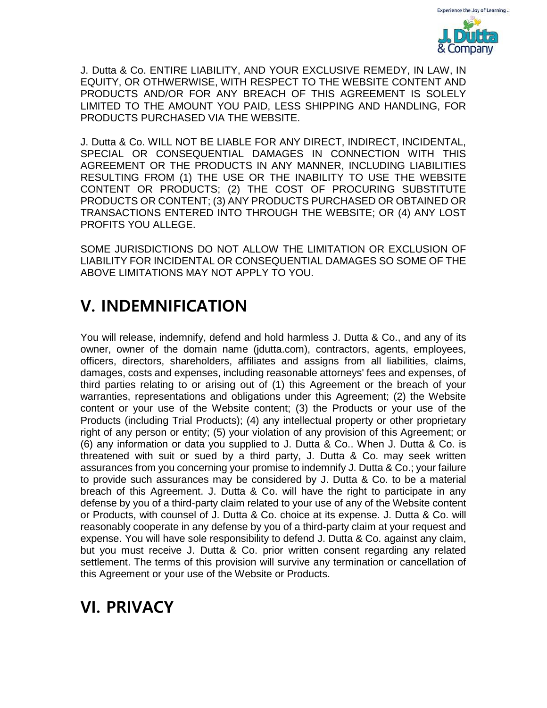

J. Dutta & Co. ENTIRE LIABILITY, AND YOUR EXCLUSIVE REMEDY, IN LAW, IN EQUITY, OR OTHWERWISE, WITH RESPECT TO THE WEBSITE CONTENT AND PRODUCTS AND/OR FOR ANY BREACH OF THIS AGREEMENT IS SOLELY LIMITED TO THE AMOUNT YOU PAID, LESS SHIPPING AND HANDLING, FOR PRODUCTS PURCHASED VIA THE WEBSITE.

J. Dutta & Co. WILL NOT BE LIABLE FOR ANY DIRECT, INDIRECT, INCIDENTAL, SPECIAL OR CONSEQUENTIAL DAMAGES IN CONNECTION WITH THIS AGREEMENT OR THE PRODUCTS IN ANY MANNER, INCLUDING LIABILITIES RESULTING FROM (1) THE USE OR THE INABILITY TO USE THE WEBSITE CONTENT OR PRODUCTS; (2) THE COST OF PROCURING SUBSTITUTE PRODUCTS OR CONTENT; (3) ANY PRODUCTS PURCHASED OR OBTAINED OR TRANSACTIONS ENTERED INTO THROUGH THE WEBSITE; OR (4) ANY LOST PROFITS YOU ALLEGE.

SOME JURISDICTIONS DO NOT ALLOW THE LIMITATION OR EXCLUSION OF LIABILITY FOR INCIDENTAL OR CONSEQUENTIAL DAMAGES SO SOME OF THE ABOVE LIMITATIONS MAY NOT APPLY TO YOU.

## **V. INDEMNIFICATION**

You will release, indemnify, defend and hold harmless J. Dutta & Co., and any of its owner, owner of the domain name (jdutta.com), contractors, agents, employees, officers, directors, shareholders, affiliates and assigns from all liabilities, claims, damages, costs and expenses, including reasonable attorneys' fees and expenses, of third parties relating to or arising out of (1) this Agreement or the breach of your warranties, representations and obligations under this Agreement; (2) the Website content or your use of the Website content; (3) the Products or your use of the Products (including Trial Products); (4) any intellectual property or other proprietary right of any person or entity; (5) your violation of any provision of this Agreement; or (6) any information or data you supplied to J. Dutta & Co.. When J. Dutta & Co. is threatened with suit or sued by a third party, J. Dutta & Co. may seek written assurances from you concerning your promise to indemnify J. Dutta & Co.; your failure to provide such assurances may be considered by J. Dutta & Co. to be a material breach of this Agreement. J. Dutta & Co. will have the right to participate in any defense by you of a third-party claim related to your use of any of the Website content or Products, with counsel of J. Dutta & Co. choice at its expense. J. Dutta & Co. will reasonably cooperate in any defense by you of a third-party claim at your request and expense. You will have sole responsibility to defend J. Dutta & Co. against any claim, but you must receive J. Dutta & Co. prior written consent regarding any related settlement. The terms of this provision will survive any termination or cancellation of this Agreement or your use of the Website or Products.

# **VI. PRIVACY**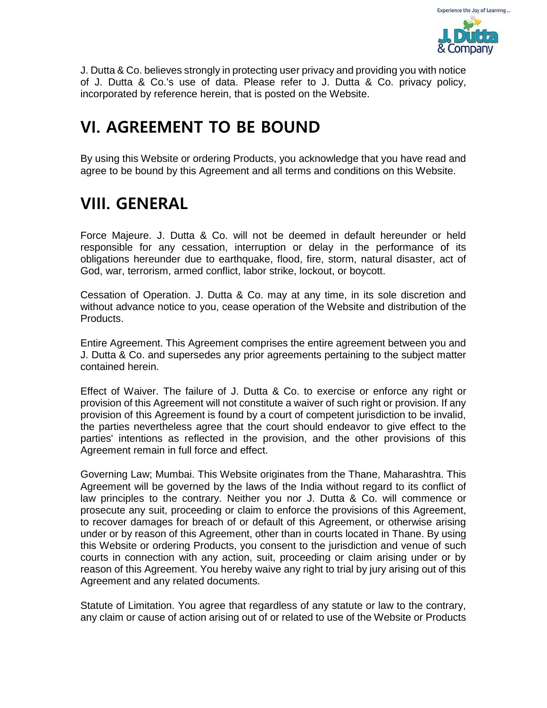

J. Dutta & Co. believes strongly in protecting user privacy and providing you with notice of J. Dutta & Co.'s use of data. Please refer to J. Dutta & Co. privacy policy, incorporated by reference herein, that is posted on the Website.

#### **VI. AGREEMENT TO BE BOUND**

By using this Website or ordering Products, you acknowledge that you have read and agree to be bound by this Agreement and all terms and conditions on this Website.

## **VIII. GENERAL**

Force Majeure. J. Dutta & Co. will not be deemed in default hereunder or held responsible for any cessation, interruption or delay in the performance of its obligations hereunder due to earthquake, flood, fire, storm, natural disaster, act of God, war, terrorism, armed conflict, labor strike, lockout, or boycott.

Cessation of Operation. J. Dutta & Co. may at any time, in its sole discretion and without advance notice to you, cease operation of the Website and distribution of the Products.

Entire Agreement. This Agreement comprises the entire agreement between you and J. Dutta & Co. and supersedes any prior agreements pertaining to the subject matter contained herein.

Effect of Waiver. The failure of J. Dutta & Co. to exercise or enforce any right or provision of this Agreement will not constitute a waiver of such right or provision. If any provision of this Agreement is found by a court of competent jurisdiction to be invalid, the parties nevertheless agree that the court should endeavor to give effect to the parties' intentions as reflected in the provision, and the other provisions of this Agreement remain in full force and effect.

Governing Law; Mumbai. This Website originates from the Thane, Maharashtra. This Agreement will be governed by the laws of the India without regard to its conflict of law principles to the contrary. Neither you nor J. Dutta & Co. will commence or prosecute any suit, proceeding or claim to enforce the provisions of this Agreement, to recover damages for breach of or default of this Agreement, or otherwise arising under or by reason of this Agreement, other than in courts located in Thane. By using this Website or ordering Products, you consent to the jurisdiction and venue of such courts in connection with any action, suit, proceeding or claim arising under or by reason of this Agreement. You hereby waive any right to trial by jury arising out of this Agreement and any related documents.

Statute of Limitation. You agree that regardless of any statute or law to the contrary, any claim or cause of action arising out of or related to use of the Website or Products